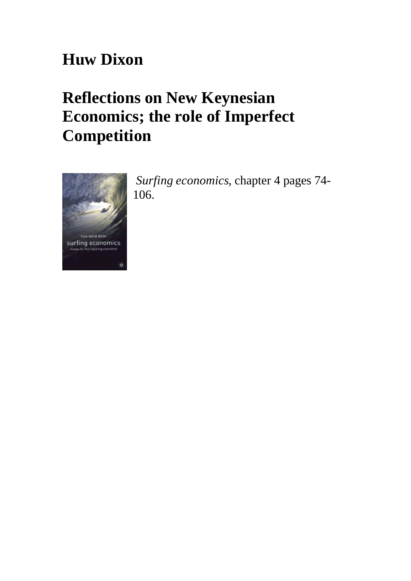## **Huw Dixon**

# **Reflections on New Keynesian Economics; the role of Imperfect Competition**



*Surfing economics*, chapter 4 pages 74- 106.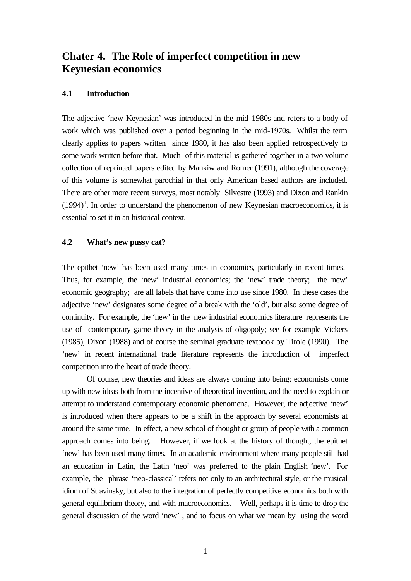### **Chater 4. The Role of imperfect competition in new Keynesian economics**

#### **4.1 Introduction**

The adjective 'new Keynesian' was introduced in the mid-1980s and refers to a body of work which was published over a period beginning in the mid-1970s. Whilst the term clearly applies to papers written since 1980, it has also been applied retrospectively to some work written before that. Much of this material is gathered together in a two volume collection of reprinted papers edited by Mankiw and Romer (1991), although the coverage of this volume is somewhat parochial in that only American based authors are included. There are other more recent surveys, most notably Silvestre (1993) and Dixon and Rankin  $(1994)^1$ . In order to understand the phenomenon of new Keynesian macroeconomics, it is essential to set it in an historical context.

#### **4.2 What's new pussy cat?**

The epithet 'new' has been used many times in economics, particularly in recent times. Thus, for example, the 'new' industrial economics; the 'new' trade theory; the 'new' economic geography; are all labels that have come into use since 1980. In these cases the adjective 'new' designates some degree of a break with the 'old', but also some degree of continuity. For example, the 'new' in the new industrial economics literature represents the use of contemporary game theory in the analysis of oligopoly; see for example Vickers (1985), Dixon (1988) and of course the seminal graduate textbook by Tirole (1990). The 'new' in recent international trade literature represents the introduction of imperfect competition into the heart of trade theory.

Of course, new theories and ideas are always coming into being: economists come up with new ideas both from the incentive of theoretical invention, and the need to explain or attempt to understand contemporary economic phenomena. However, the adjective 'new' is introduced when there appears to be a shift in the approach by several economists at around the same time. In effect, a new school of thought or group of people with a common approach comes into being. However, if we look at the history of thought, the epithet 'new' has been used many times. In an academic environment where many people still had an education in Latin, the Latin 'neo' was preferred to the plain English 'new'. For example, the phrase 'neo-classical' refers not only to an architectural style, or the musical idiom of Stravinsky, but also to the integration of perfectly competitive economics both with general equilibrium theory, and with macroeconomics. Well, perhaps it is time to drop the general discussion of the word 'new' , and to focus on what we mean by using the word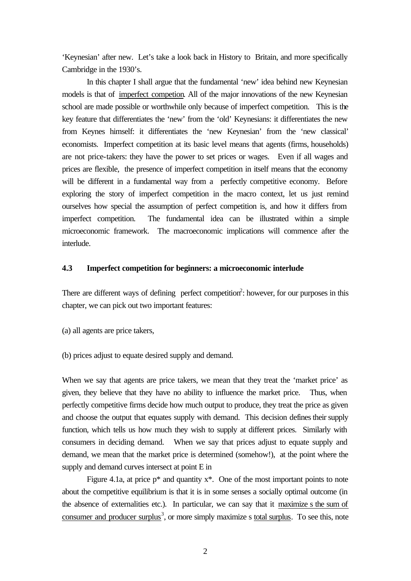'Keynesian' after new. Let's take a look back in History to Britain, and more specifically Cambridge in the 1930's.

In this chapter I shall argue that the fundamental 'new' idea behind new Keynesian models is that of imperfect competion. All of the major innovations of the new Keynesian school are made possible or worthwhile only because of imperfect competition. This is the key feature that differentiates the 'new' from the 'old' Keynesians: it differentiates the new from Keynes himself: it differentiates the 'new Keynesian' from the 'new classical' economists. Imperfect competition at its basic level means that agents (firms, households) are not price-takers: they have the power to set prices or wages. Even if all wages and prices are flexible, the presence of imperfect competition in itself means that the economy will be different in a fundamental way from a perfectly competitive economy. Before exploring the story of imperfect competition in the macro context, let us just remind ourselves how special the assumption of perfect competition is, and how it differs from imperfect competition. The fundamental idea can be illustrated within a simple microeconomic framework. The macroeconomic implications will commence after the interlude.

#### **4.3 Imperfect competition for beginners: a microeconomic interlude**

There are different ways of defining perfect competition<sup>2</sup>: however, for our purposes in this chapter, we can pick out two important features:

- (a) all agents are price takers,
- (b) prices adjust to equate desired supply and demand.

When we say that agents are price takers, we mean that they treat the 'market price' as given, they believe that they have no ability to influence the market price. Thus, when perfectly competitive firms decide how much output to produce, they treat the price as given and choose the output that equates supply with demand. This decision defines their supply function, which tells us how much they wish to supply at different prices. Similarly with consumers in deciding demand. When we say that prices adjust to equate supply and demand, we mean that the market price is determined (somehow!), at the point where the supply and demand curves intersect at point E in

Figure 4.1a, at price  $p^*$  and quantity  $x^*$ . One of the most important points to note about the competitive equilibrium is that it is in some senses a socially optimal outcome (in the absence of externalities etc.). In particular, we can say that it maximize s the sum of consumer and producer surplus<sup>3</sup>, or more simply maximize s total surplus. To see this, note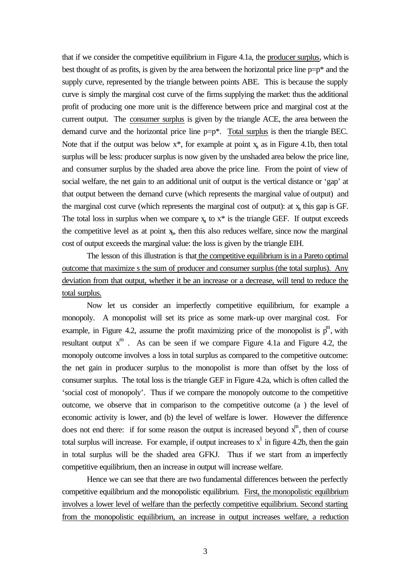that if we consider the competitive equilibrium in Figure 4.1a, the producer surplus, which is best thought of as profits, is given by the area between the horizontal price line  $p=p^*$  and the supply curve, represented by the triangle between points ABE. This is because the supply curve is simply the marginal cost curve of the firms supplying the market: thus the additional profit of producing one more unit is the difference between price and marginal cost at the current output. The consumer surplus is given by the triangle ACE, the area between the demand curve and the horizontal price line p=p\*. Total surplus is then the triangle BEC. Note that if the output was below  $x^*$ , for example at point  $x_a$  as in Figure 4.1b, then total surplus will be less: producer surplus is now given by the unshaded area below the price line, and consumer surplus by the shaded area above the price line. From the point of view of social welfare, the net gain to an additional unit of output is the vertical distance or 'gap' at that output between the demand curve (which represents the marginal value of output) and the marginal cost curve (which represents the marginal cost of output): at  $x_a$  this gap is GF. The total loss in surplus when we compare  $x_a$  to  $x^*$  is the triangle GEF. If output exceeds the competitive level as at point  $x<sub>b</sub>$ , then this also reduces welfare, since now the marginal cost of output exceeds the marginal value: the loss is given by the triangle EIH.

The lesson of this illustration is that the competitive equilibrium is in a Pareto optimal outcome that maximize s the sum of producer and consumer surplus (the total surplus). Any deviation from that output, whether it be an increase or a decrease, will tend to reduce the total surplus.

Now let us consider an imperfectly competitive equilibrium, for example a monopoly. A monopolist will set its price as some mark-up over marginal cost. For example, in Figure 4.2, assume the profit maximizing price of the monopolist is  $p^m$ , with resultant output  $x^m$ . As can be seen if we compare Figure 4.1a and Figure 4.2, the monopoly outcome involves a loss in total surplus as compared to the competitive outcome: the net gain in producer surplus to the monopolist is more than offset by the loss of consumer surplus. The total loss is the triangle GEF in Figure 4.2a, which is often called the 'social cost of monopoly'. Thus if we compare the monopoly outcome to the competitive outcome, we observe that in comparison to the competitive outcome (a ) the level of economic activity is lower, and (b) the level of welfare is lower. However the difference does not end there: if for some reason the output is increased beyond  $x^m$ , then of course total surplus will increase. For example, if output increases to  $x^1$  in figure 4.2b, then the gain in total surplus will be the shaded area GFKJ. Thus if we start from an imperfectly competitive equilibrium, then an increase in output will increase welfare.

Hence we can see that there are two fundamental differences between the perfectly competitive equilibrium and the monopolistic equilibrium. First, the monopolistic equilibrium involves a lower level of welfare than the perfectly competitive equilibrium. Second starting from the monopolistic equilibrium, an increase in output increases welfare, a reduction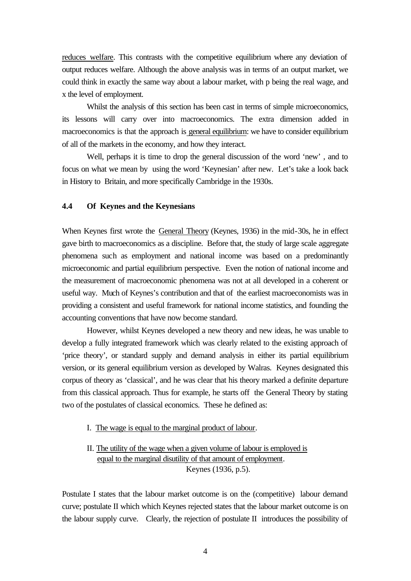reduces welfare. This contrasts with the competitive equilibrium where any deviation of output reduces welfare. Although the above analysis was in terms of an output market, we could think in exactly the same way about a labour market, with p being the real wage, and x the level of employment.

Whilst the analysis of this section has been cast in terms of simple microeconomics, its lessons will carry over into macroeconomics. The extra dimension added in macroeconomics is that the approach is general equilibrium: we have to consider equilibrium of all of the markets in the economy, and how they interact.

Well, perhaps it is time to drop the general discussion of the word 'new' , and to focus on what we mean by using the word 'Keynesian' after new. Let's take a look back in History to Britain, and more specifically Cambridge in the 1930s.

#### **4.4 Of Keynes and the Keynesians**

When Keynes first wrote the General Theory (Keynes, 1936) in the mid-30s, he in effect gave birth to macroeconomics as a discipline. Before that, the study of large scale aggregate phenomena such as employment and national income was based on a predominantly microeconomic and partial equilibrium perspective. Even the notion of national income and the measurement of macroeconomic phenomena was not at all developed in a coherent or useful way. Much of Keynes's contribution and that of the earliest macroeconomists was in providing a consistent and useful framework for national income statistics, and founding the accounting conventions that have now become standard.

However, whilst Keynes developed a new theory and new ideas, he was unable to develop a fully integrated framework which was clearly related to the existing approach of 'price theory', or standard supply and demand analysis in either its partial equilibrium version, or its general equilibrium version as developed by Walras. Keynes designated this corpus of theory as 'classical', and he was clear that his theory marked a definite departure from this classical approach. Thus for example, he starts off the General Theory by stating two of the postulates of classical economics. These he defined as:

- I. The wage is equal to the marginal product of labour*.*
- II. The utility of the wage when a given volume of labour is employed is equal to the marginal disutility of that amount of employment. Keynes (1936, p.5).

Postulate I states that the labour market outcome is on the (competitive) labour demand curve; postulate II which which Keynes rejected states that the labour market outcome is on the labour supply curve. Clearly, the rejection of postulate II introduces the possibility of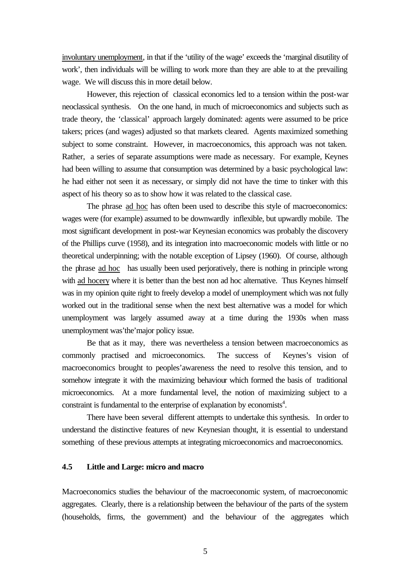involuntary unemployment*,* in that if the 'utility of the wage' exceeds the 'marginal disutility of work', then individuals will be willing to work more than they are able to at the prevailing wage. We will discuss this in more detail below.

However, this rejection of classical economics led to a tension within the post-war neoclassical synthesis. On the one hand, in much of microeconomics and subjects such as trade theory, the 'classical' approach largely dominated: agents were assumed to be price takers; prices (and wages) adjusted so that markets cleared. Agents maximized something subject to some constraint. However, in macroeconomics, this approach was not taken. Rather, a series of separate assumptions were made as necessary. For example, Keynes had been willing to assume that consumption was determined by a basic psychological law: he had either not seen it as necessary, or simply did not have the time to tinker with this aspect of his theory so as to show how it was related to the classical case.

The phrase ad hoc has often been used to describe this style of macroeconomics: wages were (for example) assumed to be downwardly inflexible, but upwardly mobile. The most significant development in post-war Keynesian economics was probably the discovery of the Phillips curve (1958), and its integration into macroeconomic models with little or no theoretical underpinning; with the notable exception of Lipsey (1960). Of course, although the phrase ad hoc has usually been used perjoratively, there is nothing in principle wrong with ad hocery where it is better than the best non ad hoc alternative. Thus Keynes himself was in my opinion quite right to freely develop a model of unemployment which was not fully worked out in the traditional sense when the next best alternative was a model for which unemployment was largely assumed away at a time during the 1930s when mass unemployment was'the'major policy issue.

Be that as it may, there was nevertheless a tension between macroeconomics as commonly practised and microeconomics. The success of Keynes's vision of macroeconomics brought to peoples'awareness the need to resolve this tension, and to somehow integrate it with the maximizing behaviour which formed the basis of traditional microeconomics. At a more fundamental level, the notion of maximizing subject to a constraint is fundamental to the enterprise of explanation by economists<sup>4</sup>.

There have been several different attempts to undertake this synthesis. In order to understand the distinctive features of new Keynesian thought, it is essential to understand something of these previous attempts at integrating microeconomics and macroeconomics.

#### **4.5 Little and Large: micro and macro**

Macroeconomics studies the behaviour of the macroeconomic system, of macroeconomic aggregates. Clearly, there is a relationship between the behaviour of the parts of the system (households, firms, the government) and the behaviour of the aggregates which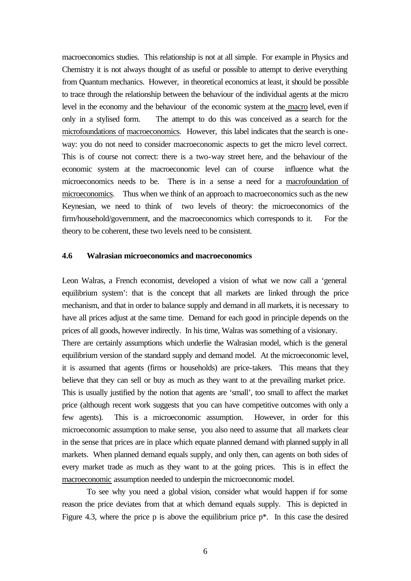macroeconomics studies. This relationship is not at all simple. For example in Physics and Chemistry it is not always thought of as useful or possible to attempt to derive everything from Quantum mechanics. However, in theoretical economics at least, it should be possible to trace through the relationship between the behaviour of the individual agents at the micro level in the economy and the behaviour of the economic system at the macro level, even if only in a stylised form. The attempt to do this was conceived as a search for the microfoundations of macroeconomics*.* However, this label indicates that the search is oneway: you do not need to consider macroeconomic aspects to get the micro level correct. This is of course not correct: there is a two-way street here, and the behaviour of the economic system at the macroeconomic level can of course influence what the microeconomics needs to be. There is in a sense a need for a macrofoundation of microeconomics. Thus when we think of an approach to macroeconomics such as the new Keynesian, we need to think of two levels of theory: the microeconomics of the firm/household/government, and the macroeconomics which corresponds to it. For the theory to be coherent, these two levels need to be consistent.

#### **4.6 Walrasian microeconomics and macroeconomics**

Leon Walras, a French economist, developed a vision of what we now call a 'general equilibrium system': that is the concept that all markets are linked through the price mechanism, and that in order to balance supply and demand in all markets, it is necessary to have all prices adjust at the same time. Demand for each good in principle depends on the prices of all goods, however indirectly. In his time, Walras was something of a visionary. There are certainly assumptions which underlie the Walrasian model, which is the general equilibrium version of the standard supply and demand model. At the microeconomic level, it is assumed that agents (firms or households) are price-takers. This means that they believe that they can sell or buy as much as they want to at the prevailing market price. This is usually justified by the notion that agents are 'small', too small to affect the market price (although recent work suggests that you can have competitive outcomes with only a few agents). This is a microeconomic assumption. However, in order for this microeconomic assumption to make sense, you also need to assume that all markets clear in the sense that prices are in place which equate planned demand with planned supply in all markets. When planned demand equals supply, and only then, can agents on both sides of every market trade as much as they want to at the going prices. This is in effect the macroeconomic assumption needed to underpin the microeconomic model.

To see why you need a global vision, consider what would happen if for some reason the price deviates from that at which demand equals supply. This is depicted in Figure 4.3, where the price p is above the equilibrium price  $p^*$ . In this case the desired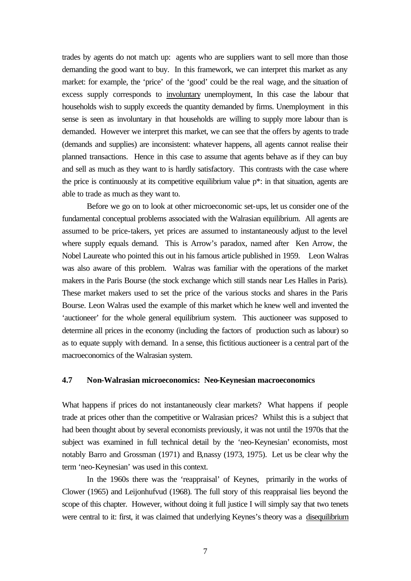trades by agents do not match up: agents who are suppliers want to sell more than those demanding the good want to buy. In this framework, we can interpret this market as any market: for example, the 'price' of the 'good' could be the real wage, and the situation of excess supply corresponds to involuntary unemployment, In this case the labour that households wish to supply exceeds the quantity demanded by firms. Unemployment in this sense is seen as involuntary in that households are willing to supply more labour than is demanded. However we interpret this market, we can see that the offers by agents to trade (demands and supplies) are inconsistent: whatever happens, all agents cannot realise their planned transactions. Hence in this case to assume that agents behave as if they can buy and sell as much as they want to is hardly satisfactory. This contrasts with the case where the price is continuously at its competitive equilibrium value p\*: in that situation, agents are able to trade as much as they want to.

Before we go on to look at other microeconomic set-ups, let us consider one of the fundamental conceptual problems associated with the Walrasian equilibrium. All agents are assumed to be price-takers, yet prices are assumed to instantaneously adjust to the level where supply equals demand. This is Arrow's paradox, named after Ken Arrow, the Nobel Laureate who pointed this out in his famous article published in 1959. Leon Walras was also aware of this problem. Walras was familiar with the operations of the market makers in the Paris Bourse (the stock exchange which still stands near Les Halles in Paris). These market makers used to set the price of the various stocks and shares in the Paris Bourse. Leon Walras used the example of this market which he knew well and invented the 'auctioneer' for the whole general equilibrium system. This auctioneer was supposed to determine all prices in the economy (including the factors of production such as labour) so as to equate supply with demand. In a sense, this fictitious auctioneer is a central part of the macroeconomics of the Walrasian system.

#### **4.7 Non-Walrasian microeconomics: Neo-Keynesian macroeconomics**

What happens if prices do not instantaneously clear markets? What happens if people trade at prices other than the competitive or Walrasian prices? Whilst this is a subject that had been thought about by several economists previously, it was not until the 1970s that the subject was examined in full technical detail by the 'neo-Keynesian' economists, most notably Barro and Grossman (1971) and B, nassy (1973, 1975). Let us be clear why the term 'neo-Keynesian' was used in this context.

In the 1960s there was the 'reappraisal' of Keynes, primarily in the works of Clower (1965) and Leijonhufvud (1968). The full story of this reappraisal lies beyond the scope of this chapter. However, without doing it full justice I will simply say that two tenets were central to it: first, it was claimed that underlying Keynes's theory was a disequilibrium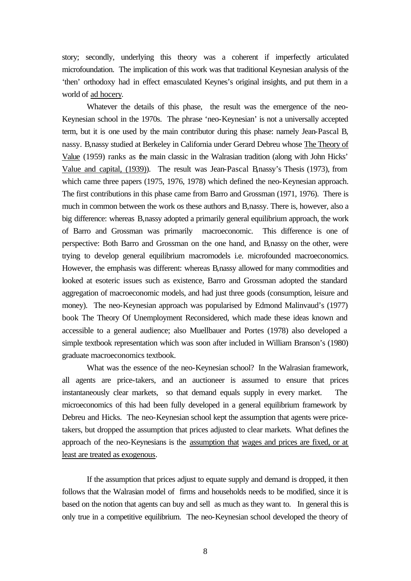story; secondly, underlying this theory was a coherent if imperfectly articulated microfoundation. The implication of this work was that traditional Keynesian analysis of the 'then' orthodoxy had in effect emasculated Keynes's original insights, and put them in a world of ad hocery.

Whatever the details of this phase, the result was the emergence of the neo-Keynesian school in the 1970s. The phrase 'neo-Keynesian' is not a universally accepted term, but it is one used by the main contributor during this phase: namely Jean-Pascal B, nassy. B, nassy studied at Berkeley in California under Gerard Debreu whose The Theory of Value (1959) ranks as the main classic in the Walrasian tradition (along with John Hicks' Value and capital, (1939)). The result was Jean-Pascal Brassy's Thesis (1973), from which came three papers (1975, 1976, 1978) which defined the neo-Keynesian approach. The first contributions in this phase came from Barro and Grossman (1971, 1976). There is much in common between the work os these authors and B, nassy. There is, however, also a big difference: whereas B,nassy adopted a primarily general equilibrium approach, the work of Barro and Grossman was primarily macroeconomic. This difference is one of perspective: Both Barro and Grossman on the one hand, and B'nassy on the other, were trying to develop general equilibrium macromodels i.e. microfounded macroeconomics. However, the emphasis was different: whereas B nassy allowed for many commodities and looked at esoteric issues such as existence, Barro and Grossman adopted the standard aggregation of macroeconomic models, and had just three goods (consumption, leisure and money). The neo-Keynesian approach was popularised by Edmond Malinvaud's (1977) book The Theory Of Unemployment Reconsidered, which made these ideas known and accessible to a general audience; also Muellbauer and Portes (1978) also developed a simple textbook representation which was soon after included in William Branson's (1980) graduate macroeconomics textbook.

What was the essence of the neo-Keynesian school? In the Walrasian framework, all agents are price-takers, and an auctioneer is assumed to ensure that prices instantaneously clear markets, so that demand equals supply in every market. The microeconomics of this had been fully developed in a general equilibrium framework by Debreu and Hicks. The neo-Keynesian school kept the assumption that agents were pricetakers, but dropped the assumption that prices adjusted to clear markets. What defines the approach of the neo-Keynesians is the assumption that wages and prices are fixed, or at least are treated as exogenous*.* 

If the assumption that prices adjust to equate supply and demand is dropped, it then follows that the Walrasian model of firms and households needs to be modified, since it is based on the notion that agents can buy and sell as much as they want to. In general this is only true in a competitive equilibrium. The neo-Keynesian school developed the theory of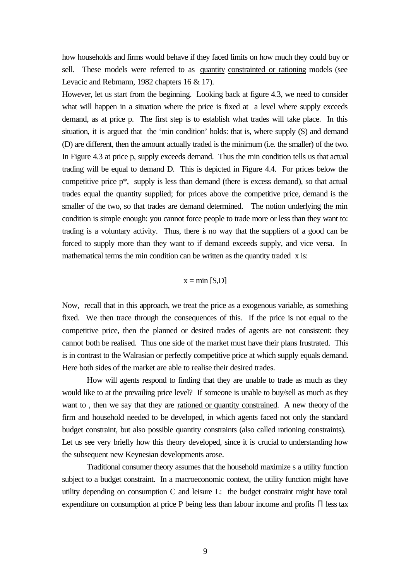how households and firms would behave if they faced limits on how much they could buy or sell. These models were referred to as quantity constrainted or rationing models (see Levacic and Rebmann, 1982 chapters 16 & 17).

However, let us start from the beginning. Looking back at figure 4.3, we need to consider what will happen in a situation where the price is fixed at a level where supply exceeds demand, as at price p. The first step is to establish what trades will take place. In this situation, it is argued that the 'min condition' holds: that is, where supply (S) and demand (D) are different, then the amount actually traded is the minimum (i.e. the smaller) of the two. In Figure 4.3 at price p, supply exceeds demand. Thus the min condition tells us that actual trading will be equal to demand D. This is depicted in Figure 4.4. For prices below the competitive price p\*, supply is less than demand (there is excess demand), so that actual trades equal the quantity supplied; for prices above the competitive price, demand is the smaller of the two, so that trades are demand determined. The notion underlying the min condition is simple enough: you cannot force people to trade more or less than they want to: trading is a voluntary activity. Thus, there is no way that the suppliers of a good can be forced to supply more than they want to if demand exceeds supply, and vice versa. In mathematical terms the min condition can be written as the quantity traded x is:

#### $x = min$  [S,D]

Now, recall that in this approach, we treat the price as a exogenous variable, as something fixed. We then trace through the consequences of this. If the price is not equal to the competitive price, then the planned or desired trades of agents are not consistent: they cannot both be realised. Thus one side of the market must have their plans frustrated. This is in contrast to the Walrasian or perfectly competitive price at which supply equals demand. Here both sides of the market are able to realise their desired trades.

How will agents respond to finding that they are unable to trade as much as they would like to at the prevailing price level? If someone is unable to buy/sell as much as they want to , then we say that they are rationed or quantity constrained. A new theory of the firm and household needed to be developed, in which agents faced not only the standard budget constraint, but also possible quantity constraints (also called rationing constraints). Let us see very briefly how this theory developed, since it is crucial to understanding how the subsequent new Keynesian developments arose.

Traditional consumer theory assumes that the household maximize s a utility function subject to a budget constraint. In a macroeconomic context, the utility function might have utility depending on consumption C and leisure L: the budget constraint might have total expenditure on consumption at price P being less than labour income and profits Π less tax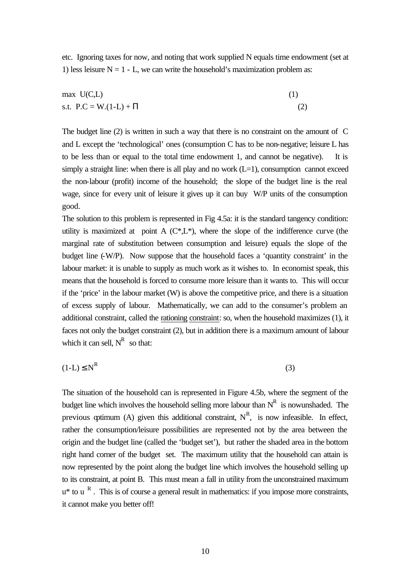etc. Ignoring taxes for now, and noting that work supplied N equals time endowment (set at 1) less leisure  $N = 1 - L$ , we can write the household's maximization problem as:

max U(C,L) (1)  
s.t. P.C = W.(1-L) + 
$$
\Pi
$$
 (2)

The budget line (2) is written in such a way that there is no constraint on the amount of C and L except the 'technological' ones (consumption C has to be non-negative; leisure L has to be less than or equal to the total time endowment 1, and cannot be negative). It is simply a straight line: when there is all play and no work  $(L=1)$ , consumption cannot exceed the non-labour (profit) income of the household; the slope of the budget line is the real wage, since for every unit of leisure it gives up it can buy W/P units of the consumption good.

The solution to this problem is represented in Fig 4.5a: it is the standard tangency condition: utility is maximized at point A  $(C^*,L^*)$ , where the slope of the indifference curve (the marginal rate of substitution between consumption and leisure) equals the slope of the budget line (-W/P). Now suppose that the household faces a 'quantity constraint' in the labour market: it is unable to supply as much work as it wishes to. In economist speak, this means that the household is forced to consume more leisure than it wants to. This will occur if the 'price' in the labour market (W) is above the competitive price, and there is a situation of excess supply of labour. Mathematically, we can add to the consumer's problem an additional constraint, called the rationing constraint: so, when the household maximizes (1), it faces not only the budget constraint (2), but in addition there is a maximum amount of labour which it can sell,  $N^R$  so that:

$$
(1-L) \le N^R \tag{3}
$$

The situation of the household can is represented in Figure 4.5b, where the segment of the budget line which involves the household selling more labour than  $N<sup>R</sup>$  is nowunshaded. The previous optimum (A) given this additional constraint,  $N<sup>R</sup>$ , is now infeasible. In effect, rather the consumption/leisure possibilities are represented not by the area between the origin and the budget line (called the 'budget set'), but rather the shaded area in the bottom right hand corner of the budget set. The maximum utility that the household can attain is now represented by the point along the budget line which involves the household selling up to its constraint, at point B. This must mean a fall in utility from the unconstrained maximum  $u^*$  to  $u^R$ . This is of course a general result in mathematics: if you impose more constraints, it cannot make you better off!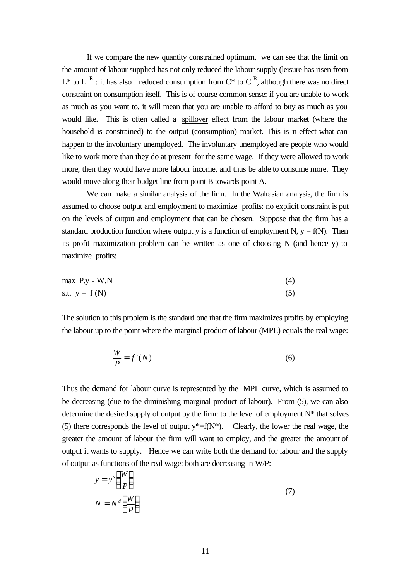If we compare the new quantity constrained optimum, we can see that the limit on the amount of labour supplied has not only reduced the labour supply (leisure has risen from  $L^*$  to  $L^R$  : it has also reduced consumption from  $C^*$  to  $C^R$ , although there was no direct constraint on consumption itself. This is of course common sense: if you are unable to work as much as you want to, it will mean that you are unable to afford to buy as much as you would like. This is often called a spillover effect from the labour market (where the household is constrained) to the output (consumption) market. This is in effect what can happen to the involuntary unemployed. The involuntary unemployed are people who would like to work more than they do at present for the same wage. If they were allowed to work more, then they would have more labour income, and thus be able to consume more. They would move along their budget line from point B towards point A.

We can make a similar analysis of the firm. In the Walrasian analysis, the firm is assumed to choose output and employment to maximize profits: no explicit constraint is put on the levels of output and employment that can be chosen. Suppose that the firm has a standard production function where output y is a function of employment N,  $y = f(N)$ . Then its profit maximization problem can be written as one of choosing N (and hence y) to maximize profits:

$$
\max \ P \cdot y - W \cdot N \tag{4}
$$
  
s.t.  $y = f(N)$  \tag{5}

The solution to this problem is the standard one that the firm maximizes profits by employing the labour up to the point where the marginal product of labour (MPL) equals the real wage:

$$
\frac{W}{P} = f'(N) \tag{6}
$$

Thus the demand for labour curve is represented by the MPL curve, which is assumed to be decreasing (due to the diminishing marginal product of labour). From (5), we can also determine the desired supply of output by the firm: to the level of employment  $N^*$  that solves (5) there corresponds the level of output  $y^* = f(N^*)$ . Clearly, the lower the real wage, the greater the amount of labour the firm will want to employ, and the greater the amount of output it wants to supply. Hence we can write both the demand for labour and the supply of output as functions of the real wage: both are decreasing in W/P:

$$
y = y^{s} \left(\frac{W}{P}\right)
$$
  

$$
N = N^{d} \left(\frac{W}{P}\right)
$$
 (7)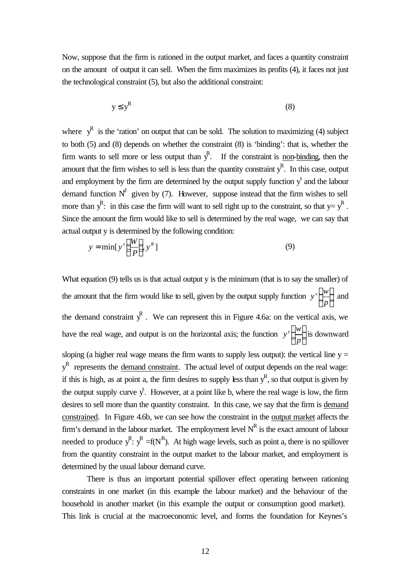Now, suppose that the firm is rationed in the output market, and faces a quantity constraint on the amount of output it can sell. When the firm maximizes its profits (4), it faces not just the technological constraint (5), but also the additional constraint:

$$
y \le y^R \tag{8}
$$

where  $y^R$  is the 'ration' on output that can be sold. The solution to maximizing (4) subject to both (5) and (8) depends on whether the constraint (8) is 'binding': that is, whether the firm wants to sell more or less output than  $y^R$ . If the constraint is <u>non-binding</u>, then the amount that the firm wishes to sell is less than the quantity constraint  $y^R$ . In this case, output and employment by the firm are determined by the output supply function  $y<sup>s</sup>$  and the labour demand function  $N^d$  given by (7). However, suppose instead that the firm wishes to sell more than  $y^R$ : in this case the firm will want to sell right up to the constraint, so that  $y = y^R$ . Since the amount the firm would like to sell is determined by the real wage, we can say that actual output y is determined by the following condition:

$$
y = \min[y^s \left(\frac{W}{P}\right), y^R]
$$
 (9)

What equation (9) tells us is that actual output y is the minimum (that is to say the smaller) of the amount that the firm would like to sell, given by the output supply function  $y^s$ *p s* l I  $\lambda$  $\overline{1}$ | and the demand constraint  $y<sup>R</sup>$ . We can represent this in Figure 4.6a: on the vertical axis, we have the real wage, and output is on the horizontal axis; the function  $y^s$ *p s* l I  $\lambda$  $\overline{1}$ is downward

sloping (a higher real wage means the firm wants to supply less output): the vertical line  $y =$ y<sup>R</sup> represents the demand constraint. The actual level of output depends on the real wage: if this is high, as at point a, the firm desires to supply less than  $y<sup>R</sup>$ , so that output is given by the output supply curve  $y^s$ . However, at a point like b, where the real wage is low, the firm desires to sell more than the quantity constraint. In this case, we say that the firm is demand constrained. In Figure 4.6b, we can see how the constraint in the output market affects the firm's demand in the labour market. The employment level  $N<sup>R</sup>$  is the exact amount of labour needed to produce  $y^R$ :  $y^R = f(N^R)$ . At high wage levels, such as point a, there is no spillover from the quantity constraint in the output market to the labour market, and employment is determined by the usual labour demand curve.

There is thus an important potential spillover effect operating between rationing constraints in one market (in this example the labour market) and the behaviour of the household in another market (in this example the output or consumption good market). This link is crucial at the macroeconomic level, and forms the foundation for Keynes's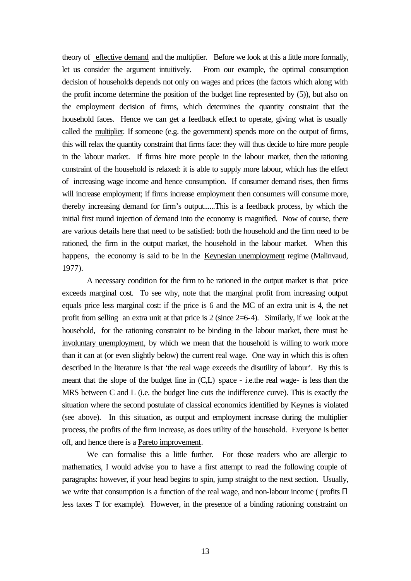theory of effective demand and the multiplier. Before we look at this a little more formally, let us consider the argument intuitively. From our example, the optimal consumption decision of households depends not only on wages and prices (the factors which along with the profit income determine the position of the budget line represented by (5)), but also on the employment decision of firms, which determines the quantity constraint that the household faces. Hence we can get a feedback effect to operate, giving what is usually called the multiplier*.* If someone (e.g. the government) spends more on the output of firms, this will relax the quantity constraint that firms face: they will thus decide to hire more people in the labour market. If firms hire more people in the labour market, then the rationing constraint of the household is relaxed: it is able to supply more labour, which has the effect of increasing wage income and hence consumption. If consumer demand rises, then firms will increase employment; if firms increase employment then consumers will consume more, thereby increasing demand for firm's output......This is a feedback process, by which the initial first round injection of demand into the economy is magnified. Now of course, there are various details here that need to be satisfied: both the household and the firm need to be rationed, the firm in the output market, the household in the labour market. When this happens, the economy is said to be in the Keynesian unemployment regime (Malinvaud, 1977).

A necessary condition for the firm to be rationed in the output market is that price exceeds marginal cost. To see why, note that the marginal profit from increasing output equals price less marginal cost: if the price is 6 and the MC of an extra unit is 4, the net profit from selling an extra unit at that price is 2 (since 2=6-4). Similarly, if we look at the household, for the rationing constraint to be binding in the labour market, there must be involuntary unemployment*,* by which we mean that the household is willing to work more than it can at (or even slightly below) the current real wage. One way in which this is often described in the literature is that 'the real wage exceeds the disutility of labour'. By this is meant that the slope of the budget line in (C,L) space - i.e.the real wage- is less than the MRS between C and L (i.e. the budget line cuts the indifference curve). This is exactly the situation where the second postulate of classical economics identified by Keynes is violated (see above). In this situation, as output and employment increase during the multiplier process, the profits of the firm increase, as does utility of the household. Everyone is better off, and hence there is a Pareto improvement.

We can formalise this a little further. For those readers who are allergic to mathematics, I would advise you to have a first attempt to read the following couple of paragraphs: however, if your head begins to spin, jump straight to the next section. Usually, we write that consumption is a function of the real wage, and non-labour income ( profits  $\Pi$ less taxes T for example). However, in the presence of a binding rationing constraint on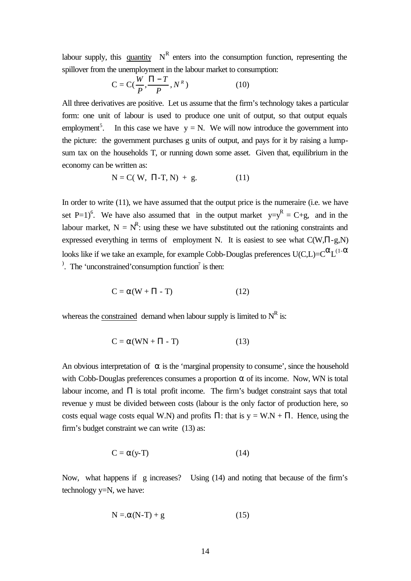labour supply, this quantity  $N<sup>R</sup>$  enters into the consumption function, representing the spillover from the unemployment in the labour market to consumption:

$$
C = C(\frac{W}{P}, \frac{\Pi - T}{P}, N^R)
$$
 (10)

All three derivatives are positive. Let us assume that the firm's technology takes a particular form: one unit of labour is used to produce one unit of output, so that output equals  $employment<sup>5</sup>$ . In this case we have  $y = N$ . We will now introduce the government into the picture: the government purchases g units of output, and pays for it by raising a lumpsum tax on the households T, or running down some asset. Given that, equilibrium in the economy can be written as:

$$
N = C(W, \Pi - T, N) + g.
$$
 (11)

In order to write (11), we have assumed that the output price is the numeraire (i.e. we have set P=1)<sup>6</sup>. We have also assumed that in the output market  $y=y^R = C+g$ , and in the labour market,  $N = N<sup>R</sup>$ : using these we have substituted out the rationing constraints and expressed everything in terms of employment N. It is easiest to see what C(W,Π-g,N) looks like if we take an example, for example Cobb-Douglas preferences U(C,L)=C ${}^{\textstyle\alpha}\text{L}^{(1-\alpha)}$ ). The 'unconstrained' consumption function<sup>7</sup> is then:

$$
C = \alpha(W + \Pi - T) \tag{12}
$$

whereas the constrained demand when labour supply is limited to  $N<sup>R</sup>$  is:

$$
C = \alpha(WN + \Pi - T)
$$
 (13)

An obvious interpretation of  $\alpha$  is the 'marginal propensity to consume', since the household with Cobb-Douglas preferences consumes a proportion  $\alpha$  of its income. Now, WN is total labour income, and Π is total profit income. The firm's budget constraint says that total revenue y must be divided between costs (labour is the only factor of production here, so costs equal wage costs equal W.N) and profits  $\Pi$ : that is  $y = W.N + \Pi$ . Hence, using the firm's budget constraint we can write (13) as:

$$
C = \alpha(y - T) \tag{14}
$$

Now, what happens if g increases? Using (14) and noting that because of the firm's technology y=N, we have:

$$
N = \alpha(N-T) + g \tag{15}
$$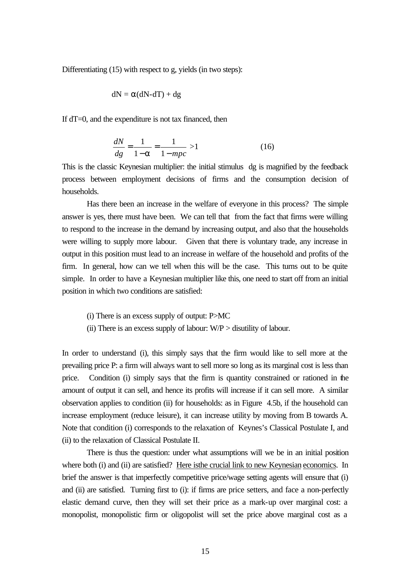Differentiating (15) with respect to g, yields (in two steps):

$$
dN = \alpha(dN \text{-} dT) + dg
$$

If  $dT=0$ , and the expenditure is not tax financed, then

$$
\frac{dN}{dg} = \frac{1}{1 - a} = \frac{1}{1 - mpc} > 1
$$
 (16)

This is the classic Keynesian multiplier: the initial stimulus dg is magnified by the feedback process between employment decisions of firms and the consumption decision of households.

Has there been an increase in the welfare of everyone in this process? The simple answer is yes, there must have been. We can tell that from the fact that firms were willing to respond to the increase in the demand by increasing output, and also that the households were willing to supply more labour. Given that there is voluntary trade, any increase in output in this position must lead to an increase in welfare of the household and profits of the firm. In general, how can we tell when this will be the case. This turns out to be quite simple. In order to have a Keynesian multiplier like this, one need to start off from an initial position in which two conditions are satisfied:

- (i) There is an excess supply of output: P>MC
- (ii) There is an excess supply of labour:  $W/P >$  disutility of labour.

In order to understand (i), this simply says that the firm would like to sell more at the prevailing price P: a firm will always want to sell more so long as its marginal cost is less than price. Condition (i) simply says that the firm is quantity constrained or rationed in the amount of output it can sell, and hence its profits will increase if it can sell more. A similar observation applies to condition (ii) for households: as in Figure 4.5b, if the household can increase employment (reduce leisure), it can increase utility by moving from B towards A. Note that condition (i) corresponds to the relaxation of Keynes's Classical Postulate I, and (ii) to the relaxation of Classical Postulate II.

There is thus the question: under what assumptions will we be in an initial position where both (i) and (ii) are satisfied? Here is the crucial link to new Keynesian economics. In brief the answer is that imperfectly competitive price/wage setting agents will ensure that (i) and (ii) are satisfied. Turning first to (i): if firms are price setters, and face a non-perfectly elastic demand curve, then they will set their price as a mark-up over marginal cost: a monopolist, monopolistic firm or oligopolist will set the price above marginal cost as a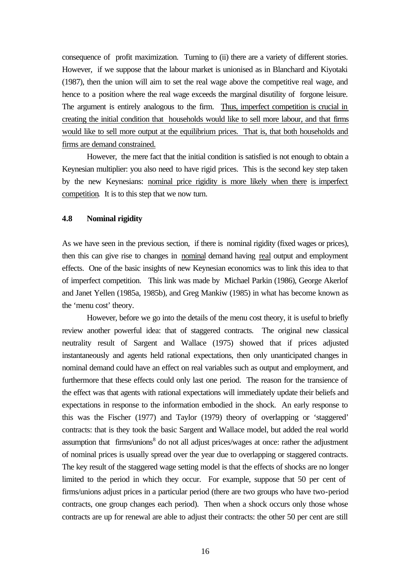consequence of profit maximization. Turning to (ii) there are a variety of different stories. However, if we suppose that the labour market is unionised as in Blanchard and Kiyotaki (1987), then the union will aim to set the real wage above the competitive real wage, and hence to a position where the real wage exceeds the marginal disutility of forgone leisure. The argument is entirely analogous to the firm. Thus, imperfect competition is crucial in creating the initial condition that households would like to sell more labour, and that firms would like to sell more output at the equilibrium prices. That is, that both households and firms are demand constrained.

However, the mere fact that the initial condition is satisfied is not enough to obtain a Keynesian multiplier: you also need to have rigid prices. This is the second key step taken by the new Keynesians: nominal price rigidity is more likely when there is imperfect competition*.* It is to this step that we now turn.

#### **4.8 Nominal rigidity**

As we have seen in the previous section, if there is nominal rigidity (fixed wages or prices), then this can give rise to changes in nominal demand having real output and employment effects. One of the basic insights of new Keynesian economics was to link this idea to that of imperfect competition. This link was made by Michael Parkin (1986), George Akerlof and Janet Yellen (1985a, 1985b), and Greg Mankiw (1985) in what has become known as the 'menu cost' theory.

However, before we go into the details of the menu cost theory, it is useful to briefly review another powerful idea: that of staggered contracts. The original new classical neutrality result of Sargent and Wallace (1975) showed that if prices adjusted instantaneously and agents held rational expectations, then only unanticipated changes in nominal demand could have an effect on real variables such as output and employment, and furthermore that these effects could only last one period. The reason for the transience of the effect was that agents with rational expectations will immediately update their beliefs and expectations in response to the information embodied in the shock. An early response to this was the Fischer (1977) and Taylor (1979) theory of overlapping or 'staggered' contracts: that is they took the basic Sargent and Wallace model, but added the real world assumption that firms/unions<sup>8</sup> do not all adjust prices/wages at once: rather the adjustment of nominal prices is usually spread over the year due to overlapping or staggered contracts. The key result of the staggered wage setting model is that the effects of shocks are no longer limited to the period in which they occur. For example, suppose that 50 per cent of firms/unions adjust prices in a particular period (there are two groups who have two-period contracts, one group changes each period). Then when a shock occurs only those whose contracts are up for renewal are able to adjust their contracts: the other 50 per cent are still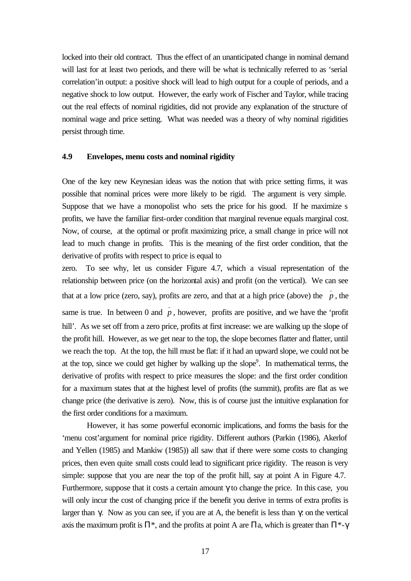locked into their old contract. Thus the effect of an unanticipated change in nominal demand will last for at least two periods, and there will be what is technically referred to as 'serial correlation'in output: a positive shock will lead to high output for a couple of periods, and a negative shock to low output. However, the early work of Fischer and Taylor, while tracing out the real effects of nominal rigidities, did not provide any explanation of the structure of nominal wage and price setting. What was needed was a theory of why nominal rigidities persist through time.

#### **4.9 Envelopes, menu costs and nominal rigidity**

One of the key new Keynesian ideas was the notion that with price setting firms, it was possible that nominal prices were more likely to be rigid. The argument is very simple. Suppose that we have a monopolist who sets the price for his good. If he maximize s profits, we have the familiar first-order condition that marginal revenue equals marginal cost. Now, of course, at the optimal or profit maximizing price, a small change in price will not lead to much change in profits. This is the meaning of the first order condition, that the derivative of profits with respect to price is equal to

zero. To see why, let us consider Figure 4.7, which a visual representation of the relationship between price (on the horizontal axis) and profit (on the vertical). We can see that at a low price (zero, say), profits are zero, and that at a high price (above) the  $\bar{p}$ , the same is true. In between  $0$  and  $p$ , however, profits are positive, and we have the 'profit \_ hill'. As we set off from a zero price, profits at first increase: we are walking up the slope of the profit hill. However, as we get near to the top, the slope becomes flatter and flatter, until we reach the top. At the top, the hill must be flat: if it had an upward slope, we could not be at the top, since we could get higher by walking up the slope $\degree$ . In mathematical terms, the derivative of profits with respect to price measures the slope: and the first order condition for a maximum states that at the highest level of profits (the summit), profits are flat as we change price (the derivative is zero). Now, this is of course just the intuitive explanation for the first order conditions for a maximum.

However, it has some powerful economic implications, and forms the basis for the 'menu cost'argument for nominal price rigidity. Different authors (Parkin (1986), Akerlof and Yellen (1985) and Mankiw (1985)) all saw that if there were some costs to changing prices, then even quite small costs could lead to significant price rigidity. The reason is very simple: suppose that you are near the top of the profit hill, say at point A in Figure 4.7. Furthermore, suppose that it costs a certain amount  $\gamma$  to change the price. In this case, you will only incur the cost of changing price if the benefit you derive in terms of extra profits is larger than γ. Now as you can see, if you are at A, the benefit is less than γ: on the vertical axis the maximum profit is  $\Pi^*$ , and the profits at point A are  $\Pi$ a, which is greater than  $\Pi^*$ -γ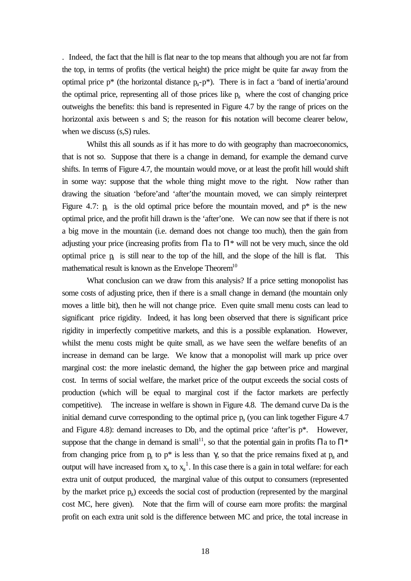. Indeed, the fact that the hill is flat near to the top means that although you are not far from the top, in terms of profits (the vertical height) the price might be quite far away from the optimal price  $p^*$  (the horizontal distance  $p_a-p^*$ ). There is in fact a 'band of inertia' around the optimal price, representing all of those prices like  $p_a$  where the cost of changing price outweighs the benefits: this band is represented in Figure 4.7 by the range of prices on the horizontal axis between s and S; the reason for this notation will become clearer below, when we discuss  $(s, S)$  rules.

Whilst this all sounds as if it has more to do with geography than macroeconomics, that is not so. Suppose that there is a change in demand, for example the demand curve shifts. In terms of Figure 4.7, the mountain would move, or at least the profit hill would shift in some way: suppose that the whole thing might move to the right. Now rather than drawing the situation 'before'and 'after'the mountain moved, we can simply reinterpret Figure 4.7:  $p_a$  is the old optimal price before the mountain moved, and  $p^*$  is the new optimal price, and the profit hill drawn is the 'after'one. We can now see that if there is not a big move in the mountain (i.e. demand does not change too much), then the gain from adjusting your price (increasing profits from  $\Pi$ a to  $\Pi^*$  will not be very much, since the old optimal price  $p_a$  is still near to the top of the hill, and the slope of the hill is flat. This mathematical result is known as the Envelope Theorem<sup>10</sup>

What conclusion can we draw from this analysis? If a price setting monopolist has some costs of adjusting price, then if there is a small change in demand (the mountain only moves a little bit), then he will not change price. Even quite small menu costs can lead to significant price rigidity. Indeed, it has long been observed that there is significant price rigidity in imperfectly competitive markets, and this is a possible explanation. However, whilst the menu costs might be quite small, as we have seen the welfare benefits of an increase in demand can be large. We know that a monopolist will mark up price over marginal cost: the more inelastic demand, the higher the gap between price and marginal cost. In terms of social welfare, the market price of the output exceeds the social costs of production (which will be equal to marginal cost if the factor markets are perfectly competitive). The increase in welfare is shown in Figure 4.8. The demand curve Da is the initial demand curve corresponding to the optimal price  $p_a$  (you can link together Figure 4.7 and Figure 4.8): demand increases to Db, and the optimal price 'after'is p\*. However, suppose that the change in demand is small<sup>11</sup>, so that the potential gain in profits  $\Pi$ a to  $\Pi^*$ from changing price from  $p_a$  to  $p^*$  is less than  $\gamma$ , so that the price remains fixed at  $p_a$  and output will have increased from  $x_a$  to  $x_a$ <sup>1</sup>. In this case there is a gain in total welfare: for each extra unit of output produced, the marginal value of this output to consumers (represented by the market price p<sup>a</sup> ) exceeds the social cost of production (represented by the marginal cost MC, here given). Note that the firm will of course earn more profits: the marginal profit on each extra unit sold is the difference between MC and price, the total increase in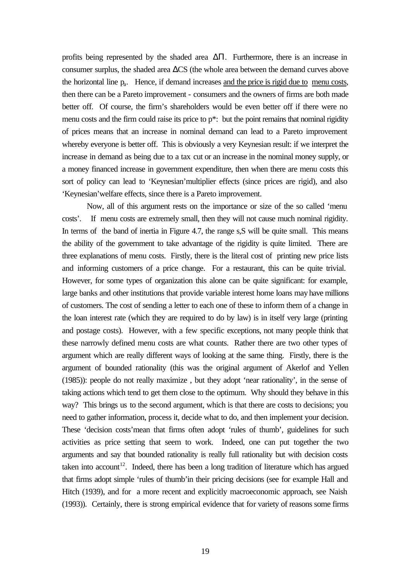profits being represented by the shaded area  $\Delta \Pi$ . Furthermore, there is an increase in consumer surplus, the shaded area ΔCS (the whole area between the demand curves above the horizontal line  $p_a$ . Hence, if demand increases and the price is rigid due to menu costs, then there can be a Pareto improvement - consumers and the owners of firms are both made better off. Of course, the firm's shareholders would be even better off if there were no menu costs and the firm could raise its price to  $p^*$ : but the point remains that nominal rigidity of prices means that an increase in nominal demand can lead to a Pareto improvement whereby everyone is better off. This is obviously a very Keynesian result: if we interpret the increase in demand as being due to a tax cut or an increase in the nominal money supply, or a money financed increase in government expenditure, then when there are menu costs this sort of policy can lead to 'Keynesian'multiplier effects (since prices are rigid), and also 'Keynesian'welfare effects, since there is a Pareto improvement.

Now, all of this argument rests on the importance or size of the so called 'menu costs'. If menu costs are extremely small, then they will not cause much nominal rigidity. In terms of the band of inertia in Figure 4.7, the range s,S will be quite small. This means the ability of the government to take advantage of the rigidity is quite limited. There are three explanations of menu costs. Firstly, there is the literal cost of printing new price lists and informing customers of a price change. For a restaurant, this can be quite trivial. However, for some types of organization this alone can be quite significant: for example, large banks and other institutions that provide variable interest home loans may have millions of customers. The cost of sending a letter to each one of these to inform them of a change in the loan interest rate (which they are required to do by law) is in itself very large (printing and postage costs). However, with a few specific exceptions, not many people think that these narrowly defined menu costs are what counts. Rather there are two other types of argument which are really different ways of looking at the same thing. Firstly, there is the argument of bounded rationality (this was the original argument of Akerlof and Yellen (1985)): people do not really maximize , but they adopt 'near rationality', in the sense of taking actions which tend to get them close to the optimum. Why should they behave in this way? This brings us to the second argument, which is that there are costs to decisions; you need to gather information, process it, decide what to do, and then implement your decision. These 'decision costs'mean that firms often adopt 'rules of thumb', guidelines for such activities as price setting that seem to work. Indeed, one can put together the two arguments and say that bounded rationality is really full rationality but with decision costs taken into account<sup>12</sup>. Indeed, there has been a long tradition of literature which has argued that firms adopt simple 'rules of thumb'in their pricing decisions (see for example Hall and Hitch (1939), and for a more recent and explicitly macroeconomic approach, see Naish (1993)). Certainly, there is strong empirical evidence that for variety of reasons some firms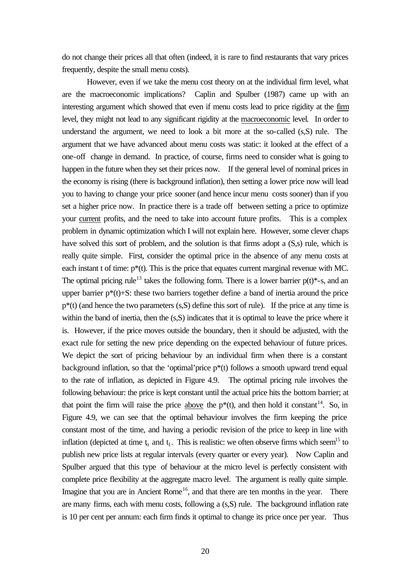do not change their prices all that often (indeed, it is rare to find restaurants that vary prices frequently, despite the small menu costs).

However, even if we take the menu cost theory on at the individual firm level, what are the macroeconomic implications? Caplin and Spulber (1987) came up with an interesting argument which showed that even if menu costs lead to price rigidity at the firm level, they might not lead to any significant rigidity at the macroeconomic level. In order to understand the argument, we need to look a bit more at the so-called (s,S) rule. The argument that we have advanced about menu costs was static: it looked at the effect of a one-off change in demand. In practice, of course, firms need to consider what is going to happen in the future when they set their prices now. If the general level of nominal prices in the economy is rising (there is background inflation), then setting a lower price now will lead you to having to change your price sooner (and hence incur menu costs sooner) than if you set a higher price now. In practice there is a trade off between setting a price to optimize your current profits, and the need to take into account future profits. This is a complex problem in dynamic optimization which I will not explain here. However, some clever chaps have solved this sort of problem, and the solution is that firms adopt a (S,s) rule, which is really quite simple. First, consider the optimal price in the absence of any menu costs at each instant t of time:  $p^*(t)$ . This is the price that equates current marginal revenue with MC. The optimal pricing rule<sup>13</sup> takes the following form. There is a lower barrier  $p(t)$ <sup>\*</sup>-s, and an upper barrier  $p^*(t)$ +S: these two barriers together define a band of inertia around the price  $p^*(t)$  (and hence the two parameters  $(s, S)$  define this sort of rule). If the price at any time is within the band of inertia, then the  $(s, S)$  indicates that it is optimal to leave the price where it is. However, if the price moves outside the boundary, then it should be adjusted, with the exact rule for setting the new price depending on the expected behaviour of future prices. We depict the sort of pricing behaviour by an individual firm when there is a constant background inflation, so that the 'optimal' price  $p^*(t)$  follows a smooth upward trend equal to the rate of inflation, as depicted in Figure 4.9. The optimal pricing rule involves the following behaviour: the price is kept constant until the actual price hits the bottom barrier; at that point the firm will raise the price above the  $p^*(t)$ , and then hold it constant<sup>14</sup>. So, in Figure 4.9, we can see that the optimal behaviour involves the firm keeping the price constant most of the time, and having a periodic revision of the price to keep in line with inflation (depicted at time  $t_0$  and  $t_1$ . This is realistic: we often observe firms which seem<sup>15</sup> to publish new price lists at regular intervals (every quarter or every year). Now Caplin and Spulber argued that this type of behaviour at the micro level is perfectly consistent with complete price flexibility at the aggregate macro level. The argument is really quite simple. Imagine that you are in Ancient Rome<sup>16</sup>, and that there are ten months in the year. There are many firms, each with menu costs, following a (s,S) rule. The background inflation rate is 10 per cent per annum: each firm finds it optimal to change its price once per year. Thus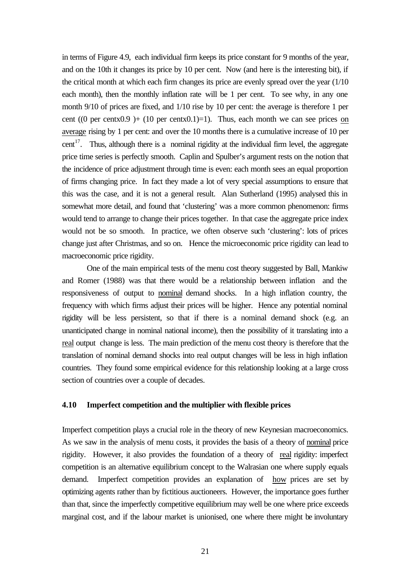in terms of Figure 4.9, each individual firm keeps its price constant for 9 months of the year, and on the 10th it changes its price by 10 per cent. Now (and here is the interesting bit), if the critical month at which each firm changes its price are evenly spread over the year (1/10 each month), then the monthly inflation rate will be 1 per cent. To see why, in any one month 9/10 of prices are fixed, and 1/10 rise by 10 per cent: the average is therefore 1 per cent ((0 per centx0.9 )+ (10 per centx0.1)=1). Thus, each month we can see prices on average rising by 1 per cent: and over the 10 months there is a cumulative increase of 10 per cent<sup>17</sup>. Thus, although there is a nominal rigidity at the individual firm level, the aggregate price time series is perfectly smooth. Caplin and Spulber's argument rests on the notion that the incidence of price adjustment through time is even: each month sees an equal proportion of firms changing price. In fact they made a lot of very special assumptions to ensure that this was the case, and it is not a general result. Alan Sutherland (1995) analysed this in somewhat more detail, and found that 'clustering' was a more common phenomenon: firms would tend to arrange to change their prices together. In that case the aggregate price index would not be so smooth. In practice, we often observe such 'clustering': lots of prices change just after Christmas, and so on. Hence the microeconomic price rigidity can lead to macroeconomic price rigidity.

One of the main empirical tests of the menu cost theory suggested by Ball, Mankiw and Romer (1988) was that there would be a relationship between inflation and the responsiveness of output to nominal demand shocks. In a high inflation country, the frequency with which firms adjust their prices will be higher. Hence any potential nominal rigidity will be less persistent, so that if there is a nominal demand shock (e.g. an unanticipated change in nominal national income), then the possibility of it translating into a real output change is less. The main prediction of the menu cost theory is therefore that the translation of nominal demand shocks into real output changes will be less in high inflation countries. They found some empirical evidence for this relationship looking at a large cross section of countries over a couple of decades.

#### **4.10 Imperfect competition and the multiplier with flexible prices**

Imperfect competition plays a crucial role in the theory of new Keynesian macroeconomics. As we saw in the analysis of menu costs, it provides the basis of a theory of nominal price rigidity. However, it also provides the foundation of a theory of real rigidity: imperfect competition is an alternative equilibrium concept to the Walrasian one where supply equals demand. Imperfect competition provides an explanation of how prices are set by optimizing agents rather than by fictitious auctioneers. However, the importance goes further than that, since the imperfectly competitive equilibrium may well be one where price exceeds marginal cost, and if the labour market is unionised, one where there might be involuntary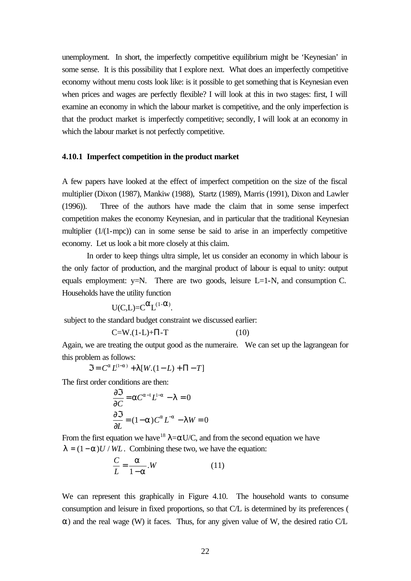unemployment. In short, the imperfectly competitive equilibrium might be 'Keynesian' in some sense. It is this possibility that I explore next. What does an imperfectly competitive economy without menu costs look like: is it possible to get something that is Keynesian even when prices and wages are perfectly flexible? I will look at this in two stages: first, I will examine an economy in which the labour market is competitive, and the only imperfection is that the product market is imperfectly competitive; secondly, I will look at an economy in which the labour market is not perfectly competitive.

#### **4.10.1 Imperfect competition in the product market**

A few papers have looked at the effect of imperfect competition on the size of the fiscal multiplier (Dixon (1987), Mankiw (1988), Startz (1989), Marris (1991), Dixon and Lawler (1996)). Three of the authors have made the claim that in some sense imperfect competition makes the economy Keynesian, and in particular that the traditional Keynesian multiplier  $(1/(1-mpc))$  can in some sense be said to arise in an imperfectly competitive economy. Let us look a bit more closely at this claim.

In order to keep things ultra simple, let us consider an economy in which labour is the only factor of production, and the marginal product of labour is equal to unity: output equals employment:  $y=N$ . There are two goods, leisure L=1-N, and consumption C. Households have the utility function

$$
U(C,L) = C^{\alpha} L^{(1-\alpha)}.
$$

subject to the standard budget constraint we discussed earlier:

$$
C=W.(1-L)+\Pi-T
$$
 (10)

Again, we are treating the output good as the numeraire. We can set up the lagrangean for this problem as follows:

$$
\Im = C^{a} L^{(1-a)} + I[W.(1-L) + \Pi - T]
$$

The first order conditions are then:

$$
\frac{\sqrt{3}}{\sqrt{2}} = aC^{a-1}L^{1-a} - 1 = 0
$$
  

$$
\frac{\sqrt{3}}{\sqrt{2}} = (1-a)C^a L^{-a} - 1 = 0
$$

From the first equation we have <sup>18</sup>  $\lambda = \alpha U/C$ , and from the second equation we have  $\mathbf{l} = (1 - \mathbf{a}) \mathbf{U} / \mathbf{W}$ . Combining these two, we have the equation:

$$
\frac{C}{L} = \frac{a}{1-a} . W \tag{11}
$$

We can represent this graphically in Figure 4.10. The household wants to consume consumption and leisure in fixed proportions, so that C/L is determined by its preferences (  $\alpha$ ) and the real wage (W) it faces. Thus, for any given value of W, the desired ratio C/L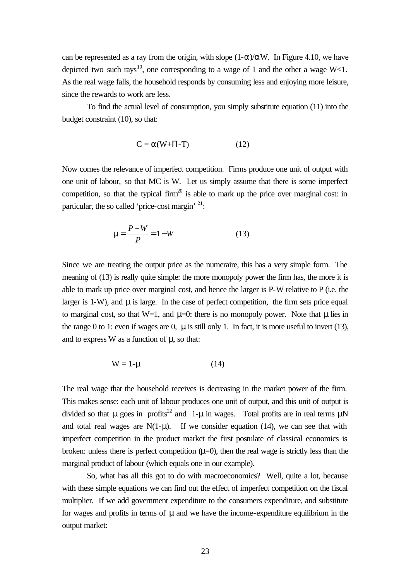can be represented as a ray from the origin, with slope  $(1-\alpha)/\alpha W$ . In Figure 4.10, we have depicted two such rays<sup>19</sup>, one corresponding to a wage of 1 and the other a wage W<1. As the real wage falls, the household responds by consuming less and enjoying more leisure, since the rewards to work are less.

To find the actual level of consumption, you simply substitute equation (11) into the budget constraint (10), so that:

$$
C = \alpha(W + \Pi - T) \tag{12}
$$

Now comes the relevance of imperfect competition. Firms produce one unit of output with one unit of labour, so that MC is W. Let us simply assume that there is some imperfect competition, so that the typical firm<sup>20</sup> is able to mark up the price over marginal cost: in particular, the so called 'price-cost margin'  $^{21}$ :

$$
\mathbf{m} = \frac{P - W}{P} = 1 - W \tag{13}
$$

Since we are treating the output price as the numeraire, this has a very simple form. The meaning of (13) is really quite simple: the more monopoly power the firm has, the more it is able to mark up price over marginal cost, and hence the larger is P-W relative to P (i.e. the larger is  $1-W$ ), and  $\mu$  is large. In the case of perfect competition, the firm sets price equal to marginal cost, so that W=1, and  $\mu$ =0: there is no monopoly power. Note that  $\mu$  lies in the range 0 to 1: even if wages are 0,  $\mu$  is still only 1. In fact, it is more useful to invert (13), and to express W as a function of  $\mu$ , so that:

$$
W = 1 - \mu \tag{14}
$$

The real wage that the household receives is decreasing in the market power of the firm. This makes sense: each unit of labour produces one unit of output, and this unit of output is divided so that  $\mu$  goes in profits<sup>22</sup> and 1- $\mu$  in wages. Total profits are in real terms  $\mu$ N and total real wages are  $N(1-\mu)$ . If we consider equation (14), we can see that with imperfect competition in the product market the first postulate of classical economics is broken: unless there is perfect competition  $(\mu=0)$ , then the real wage is strictly less than the marginal product of labour (which equals one in our example).

So, what has all this got to do with macroeconomics? Well, quite a lot, because with these simple equations we can find out the effect of imperfect competition on the fiscal multiplier. If we add government expenditure to the consumers expenditure, and substitute for wages and profits in terms of  $\mu$  and we have the income-expenditure equilibrium in the output market: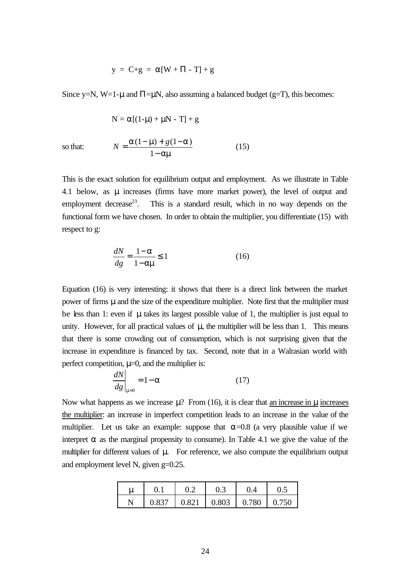$$
y = C+g = \alpha[W + \Pi - T] + g
$$

Since y=N, W=1- $\mu$  and  $\Pi$ = $\mu$ N, also assuming a balanced budget (g=T), this becomes:

$$
N = \alpha [(1-\mu) + \mu N - T] + g
$$
  
so that: 
$$
N = \frac{a(1-m) + g(1-a)}{1-am}
$$
 (15)

This is the exact solution for equilibrium output and employment. As we illustrate in Table 4.1 below, as μ increases (firms have more market power), the level of output and employment decrease<sup>23</sup>. This is a standard result, which in no way depends on the functional form we have chosen. In order to obtain the multiplier, you differentiate (15) with respect to g:

$$
\frac{dN}{dg} = \frac{1 - a}{1 - am} \le 1\tag{16}
$$

Equation (16) is very interesting: it shows that there is a direct link between the market power of firms μ and the size of the expenditure multiplier. Note first that the multiplier must be less than 1: even if μ takes its largest possible value of 1, the multiplier is just equal to unity. However, for all practical values of  $\mu$ , the multiplier will be less than 1. This means that there is some crowding out of consumption, which is not surprising given that the increase in expenditure is financed by tax. Second, note that in a Walrasian world with perfect competition,  $\mu$ =0, and the multiplier is:

$$
\left. \frac{dN}{dg} \right|_{m=0} = 1 - a \tag{17}
$$

Now what happens as we increase  $\mu$ ? From (16), it is clear that an increase in  $\mu$  increases the multiplier: an increase in imperfect competition leads to an increase in the value of the multiplier. Let us take an example: suppose that  $\alpha$ =0.8 (a very plausible value if we interpret  $\alpha$  as the marginal propensity to consume). In Table 4.1 we give the value of the multiplier for different values of μ. For reference, we also compute the equilibrium output and employment level N, given g=0.25.

| 0.837 | 0.821 | 0.803 | 0.780 | 0.750 |
|-------|-------|-------|-------|-------|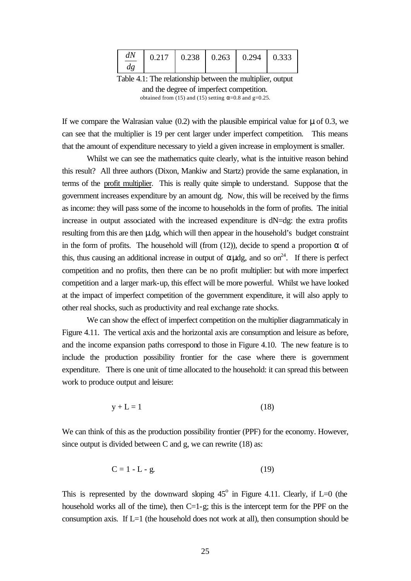| dN         |  |  |  |
|------------|--|--|--|
| $d\varrho$ |  |  |  |

Table 4.1: The relationship between the multiplier, output and the degree of imperfect competition. obtained from (15) and (15) setting  $\alpha$ =0.8 and g=0.25.

If we compare the Walrasian value  $(0.2)$  with the plausible empirical value for  $\mu$  of 0.3, we can see that the multiplier is 19 per cent larger under imperfect competition. This means that the amount of expenditure necessary to yield a given increase in employment is smaller.

Whilst we can see the mathematics quite clearly, what is the intuitive reason behind this result? All three authors (Dixon, Mankiw and Startz) provide the same explanation, in terms of the profit multiplier. This is really quite simple to understand. Suppose that the government increases expenditure by an amount dg. Now, this will be received by the firms as income: they will pass some of the income to households in the form of profits. The initial increase in output associated with the increased expenditure is  $dN = dg$ : the extra profits resulting from this are then μ.dg, which will then appear in the household's budget constraint in the form of profits. The household will (from (12)), decide to spend a proportion  $\alpha$  of this, thus causing an additional increase in output of  $\alpha \mu$ dg, and so on<sup>24</sup>. If there is perfect competition and no profits, then there can be no profit multiplier: but with more imperfect competition and a larger mark-up, this effect will be more powerful. Whilst we have looked at the impact of imperfect competition of the government expenditure, it will also apply to other real shocks, such as productivity and real exchange rate shocks.

We can show the effect of imperfect competition on the multiplier diagrammaticaly in Figure 4.11. The vertical axis and the horizontal axis are consumption and leisure as before, and the income expansion paths correspond to those in Figure 4.10. The new feature is to include the production possibility frontier for the case where there is government expenditure. There is one unit of time allocated to the household: it can spread this between work to produce output and leisure:

$$
y + L = 1 \tag{18}
$$

We can think of this as the production possibility frontier (PPF) for the economy. However, since output is divided between C and g, we can rewrite (18) as:

$$
C = 1 - L - g.\tag{19}
$$

This is represented by the downward sloping  $45^{\circ}$  in Figure 4.11. Clearly, if L=0 (the household works all of the time), then C=1-g; this is the intercept term for the PPF on the consumption axis. If L=1 (the household does not work at all), then consumption should be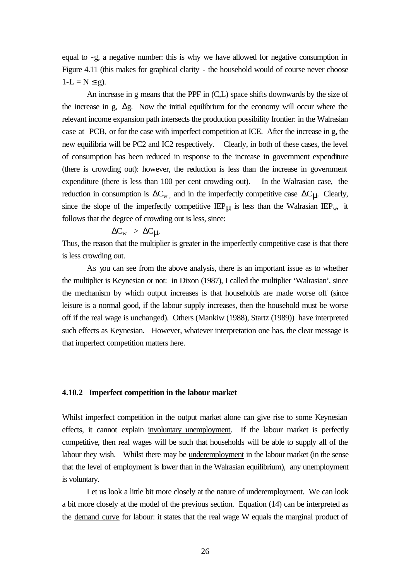equal to -g, a negative number: this is why we have allowed for negative consumption in Figure 4.11 (this makes for graphical clarity - the household would of course never choose  $1-L = N \le g$ ).

An increase in g means that the PPF in (C,L) space shifts downwards by the size of the increase in g,  $\Delta$ g. Now the initial equilibrium for the economy will occur where the relevant income expansion path intersects the production possibility frontier: in the Walrasian case at PCB, or for the case with imperfect competition at ICE. After the increase in g, the new equilibria will be PC2 and IC2 respectively. Clearly, in both of these cases, the level of consumption has been reduced in response to the increase in government expenditure (there is crowding out): however, the reduction is less than the increase in government expenditure (there is less than 100 per cent crowding out). In the Walrasian case, the reduction in consumption is  $\Delta C_{w}$ , and in the imperfectly competitive case  $\Delta C_{u}$ . Clearly, since the slope of the imperfectly competitive  $IEP_{\mu}$  is less than the Walrasian  $IEP_{w}$ , it follows that the degree of crowding out is less, since:

$$
\Delta C_w > \Delta C_{\mu}.
$$

Thus, the reason that the multiplier is greater in the imperfectly competitive case is that there is less crowding out.

As you can see from the above analysis, there is an important issue as to whether the multiplier is Keynesian or not: in Dixon (1987), I called the multiplier 'Walrasian', since the mechanism by which output increases is that households are made worse off (since leisure is a normal good, if the labour supply increases, then the household must be worse off if the real wage is unchanged). Others (Mankiw (1988), Startz (1989)) have interpreted such effects as Keynesian. However, whatever interpretation one has, the clear message is that imperfect competition matters here.

#### **4.10.2 Imperfect competition in the labour market**

Whilst imperfect competition in the output market alone can give rise to some Keynesian effects, it cannot explain involuntary unemployment. If the labour market is perfectly competitive, then real wages will be such that households will be able to supply all of the labour they wish. Whilst there may be underemployment in the labour market (in the sense that the level of employment is lower than in the Walrasian equilibrium), any unemployment is voluntary.

Let us look a little bit more closely at the nature of underemployment. We can look a bit more closely at the model of the previous section. Equation (14) can be interpreted as the demand curve for labour: it states that the real wage W equals the marginal product of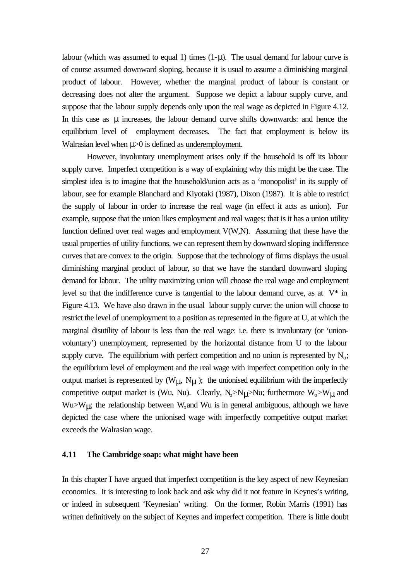labour (which was assumed to equal 1) times  $(1-\mu)$ . The usual demand for labour curve is of course assumed downward sloping, because it is usual to assume a diminishing marginal product of labour. However, whether the marginal product of labour is constant or decreasing does not alter the argument. Suppose we depict a labour supply curve, and suppose that the labour supply depends only upon the real wage as depicted in Figure 4.12. In this case as μ increases, the labour demand curve shifts downwards: and hence the equilibrium level of employment decreases. The fact that employment is below its Walrasian level when μ>0 is defined as underemployment*.*

However, involuntary unemployment arises only if the household is off its labour supply curve. Imperfect competition is a way of explaining why this might be the case. The simplest idea is to imagine that the household/union acts as a 'monopolist' in its supply of labour, see for example Blanchard and Kiyotaki (1987), Dixon (1987). It is able to restrict the supply of labour in order to increase the real wage (in effect it acts as union). For example, suppose that the union likes employment and real wages: that is it has a union utility function defined over real wages and employment V(W,N). Assuming that these have the usual properties of utility functions, we can represent them by downward sloping indifference curves that are convex to the origin. Suppose that the technology of firms displays the usual diminishing marginal product of labour, so that we have the standard downward sloping demand for labour. The utility maximizing union will choose the real wage and employment level so that the indifference curve is tangential to the labour demand curve, as at V\* in Figure 4.13. We have also drawn in the usual labour supply curve: the union will choose to restrict the level of unemployment to a position as represented in the figure at U, at which the marginal disutility of labour is less than the real wage: i.e. there is involuntary (or 'unionvoluntary') unemployment, represented by the horizontal distance from U to the labour supply curve. The equilibrium with perfect competition and no union is represented by  $N_0$ ; the equilibrium level of employment and the real wage with imperfect competition only in the output market is represented by  $(W_{\text{u}}, N_{\text{u}})$ ; the unionised equilibrium with the imperfectly competitive output market is (Wu, Nu). Clearly,  $N_0 > N_{\mu} > Nu$ ; furthermore  $W_0 > W_{\mu}$  and Wu $>W_{\mu}$ ; the relationship between W<sub>o</sub>and Wu is in general ambiguous, although we have depicted the case where the unionised wage with imperfectly competitive output market exceeds the Walrasian wage.

#### **4.11 The Cambridge soap: what might have been**

In this chapter I have argued that imperfect competition is the key aspect of new Keynesian economics. It is interesting to look back and ask why did it not feature in Keynes's writing, or indeed in subsequent 'Keynesian' writing. On the former, Robin Marris (1991) has written definitively on the subject of Keynes and imperfect competition. There is little doubt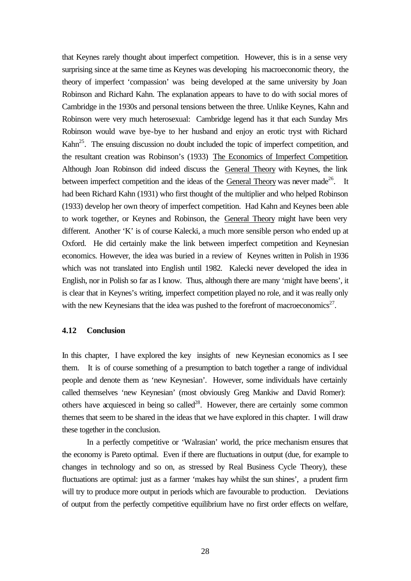that Keynes rarely thought about imperfect competition. However, this is in a sense very surprising since at the same time as Keynes was developing his macroeconomic theory, the theory of imperfect 'compassion' was being developed at the same university by Joan Robinson and Richard Kahn. The explanation appears to have to do with social mores of Cambridge in the 1930s and personal tensions between the three. Unlike Keynes, Kahn and Robinson were very much heterosexual: Cambridge legend has it that each Sunday Mrs Robinson would wave bye-bye to her husband and enjoy an erotic tryst with Richard Kahn<sup>25</sup>. The ensuing discussion no doubt included the topic of imperfect competition, and the resultant creation was Robinson's (1933) The Economics of Imperfect Competition. Although Joan Robinson did indeed discuss the General Theory with Keynes, the link between imperfect competition and the ideas of the General Theory was never made<sup>26</sup>. It had been Richard Kahn (1931) who first thought of the multiplier and who helped Robinson (1933) develop her own theory of imperfect competition. Had Kahn and Keynes been able to work together, or Keynes and Robinson, the General Theory might have been very different. Another 'K' is of course Kalecki, a much more sensible person who ended up at Oxford. He did certainly make the link between imperfect competition and Keynesian economics. However, the idea was buried in a review of Keynes written in Polish in 1936 which was not translated into English until 1982. Kalecki never developed the idea in English, nor in Polish so far as I know. Thus, although there are many 'might have beens', it is clear that in Keynes's writing, imperfect competition played no role, and it was really only with the new Keynesians that the idea was pushed to the forefront of macroeconomics $2^7$ .

#### **4.12 Conclusion**

In this chapter, I have explored the key insights of new Keynesian economics as I see them. It is of course something of a presumption to batch together a range of individual people and denote them as 'new Keynesian'. However, some individuals have certainly called themselves 'new Keynesian' (most obviously Greg Mankiw and David Romer): others have acquiesced in being so called<sup>28</sup>. However, there are certainly some common themes that seem to be shared in the ideas that we have explored in this chapter. I will draw these together in the conclusion.

In a perfectly competitive or 'Walrasian' world, the price mechanism ensures that the economy is Pareto optimal. Even if there are fluctuations in output (due, for example to changes in technology and so on, as stressed by Real Business Cycle Theory), these fluctuations are optimal: just as a farmer 'makes hay whilst the sun shines', a prudent firm will try to produce more output in periods which are favourable to production. Deviations of output from the perfectly competitive equilibrium have no first order effects on welfare,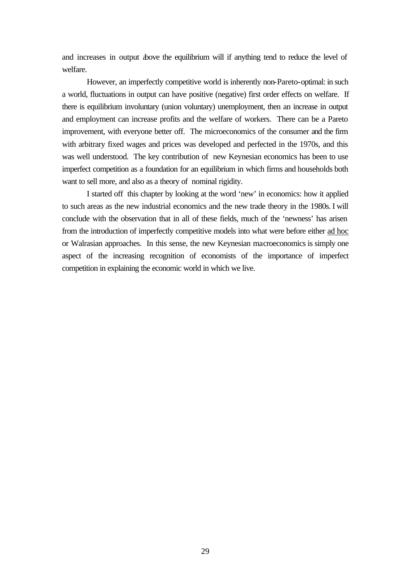and increases in output above the equilibrium will if anything tend to reduce the level of welfare.

However, an imperfectly competitive world is inherently non-Pareto-optimal: in such a world, fluctuations in output can have positive (negative) first order effects on welfare. If there is equilibrium involuntary (union voluntary) unemployment, then an increase in output and employment can increase profits and the welfare of workers. There can be a Pareto improvement, with everyone better off. The microeconomics of the consumer and the firm with arbitrary fixed wages and prices was developed and perfected in the 1970s, and this was well understood. The key contribution of new Keynesian economics has been to use imperfect competition as a foundation for an equilibrium in which firms and households both want to sell more, and also as a theory of nominal rigidity.

I started off this chapter by looking at the word 'new' in economics: how it applied to such areas as the new industrial economics and the new trade theory in the 1980s. I will conclude with the observation that in all of these fields, much of the 'newness' has arisen from the introduction of imperfectly competitive models into what were before either ad hoc or Walrasian approaches. In this sense, the new Keynesian macroeconomics is simply one aspect of the increasing recognition of economists of the importance of imperfect competition in explaining the economic world in which we live.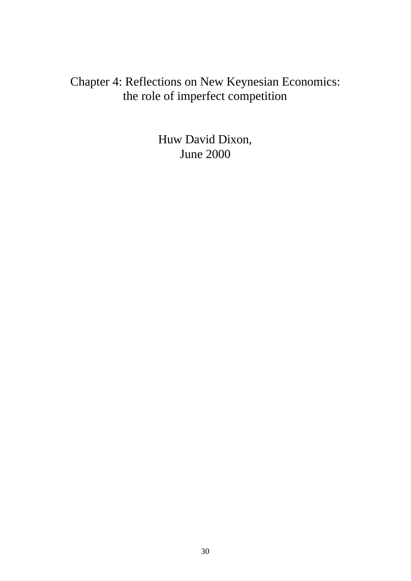### Chapter 4: Reflections on New Keynesian Economics: the role of imperfect competition

Huw David Dixon, June 2000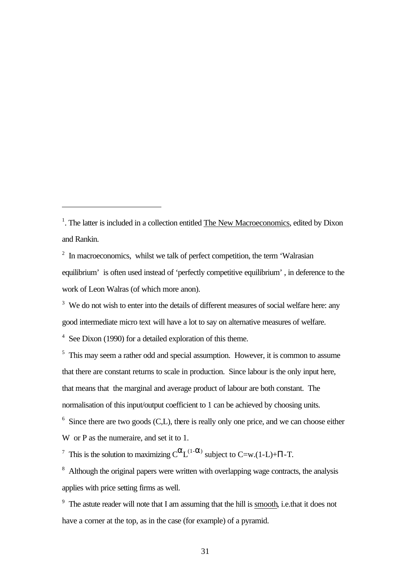$2\;\;$  In macroeconomics, whilst we talk of perfect competition, the term 'Walrasian equilibrium' is often used instead of 'perfectly competitive equilibrium' , in deference to the work of Leon Walras (of which more anon).

 $3$  We do not wish to enter into the details of different measures of social welfare here: any good intermediate micro text will have a lot to say on alternative measures of welfare.

<sup>4</sup> See Dixon (1990) for a detailed exploration of this theme.

j

<sup>5</sup> This may seem a rather odd and special assumption. However, it is common to assume that there are constant returns to scale in production. Since labour is the only input here, that means that the marginal and average product of labour are both constant. The normalisation of this input/output coefficient to 1 can be achieved by choosing units.

<sup>6</sup> Since there are two goods (C,L), there is really only one price, and we can choose either W or P as the numeraire, and set it to 1.

<sup>7</sup> This is the solution to maximizing  $C^{\alpha}L^{(1-\alpha)}$  subject to C=w.(1-L)+ $\Pi$ -T.

<sup>8</sup> Although the original papers were written with overlapping wage contracts, the analysis applies with price setting firms as well.

<sup>9</sup> The astute reader will note that I am assuming that the hill is smooth, i.e.that it does not have a corner at the top, as in the case (for example) of a pyramid.

<sup>&</sup>lt;sup>1</sup>. The latter is included in a collection entitled The New Macroeconomics, edited by Dixon and Rankin.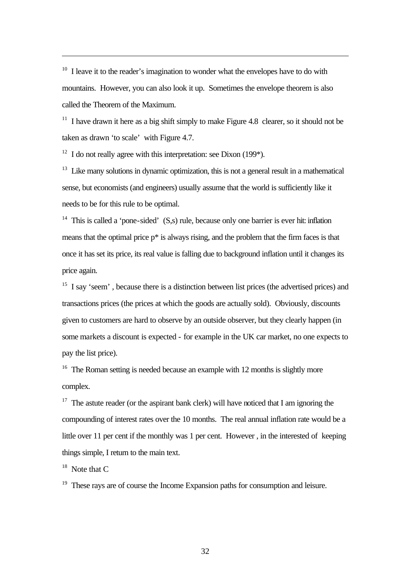<sup>10</sup> I leave it to the reader's imagination to wonder what the envelopes have to do with mountains. However, you can also look it up. Sometimes the envelope theorem is also called the Theorem of the Maximum.

<sup>11</sup> I have drawn it here as a big shift simply to make Figure 4.8 clearer, so it should not be taken as drawn 'to scale' with Figure 4.7.

<sup>12</sup> I do not really agree with this interpretation: see Dixon (199<sup>\*</sup>).

 $13$  Like many solutions in dynamic optimization, this is not a general result in a mathematical sense, but economists (and engineers) usually assume that the world is sufficiently like it needs to be for this rule to be optimal.

<sup>14</sup> This is called a 'pone-sided'  $(S,s)$  rule, because only one barrier is ever hit: inflation means that the optimal price p\* is always rising, and the problem that the firm faces is that once it has set its price, its real value is falling due to background inflation until it changes its price again.

<sup>15</sup> I say 'seem', because there is a distinction between list prices (the advertised prices) and transactions prices (the prices at which the goods are actually sold). Obviously, discounts given to customers are hard to observe by an outside observer, but they clearly happen (in some markets a discount is expected - for example in the UK car market, no one expects to pay the list price).

<sup>16</sup> The Roman setting is needed because an example with 12 months is slightly more complex.

<sup>17</sup> The astute reader (or the aspirant bank clerk) will have noticed that I am ignoring the compounding of interest rates over the 10 months. The real annual inflation rate would be a little over 11 per cent if the monthly was 1 per cent. However , in the interested of keeping things simple, I return to the main text.

 $18$  Note that C

j

<sup>19</sup> These rays are of course the Income Expansion paths for consumption and leisure.

32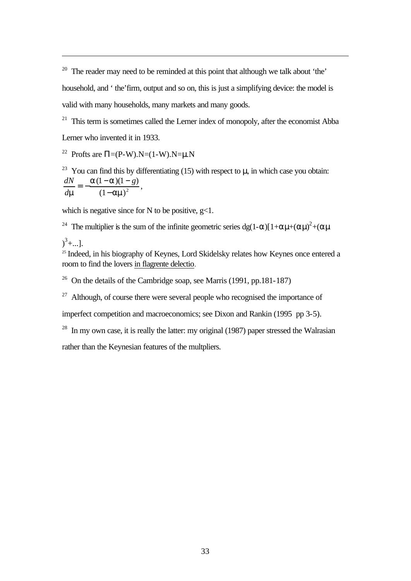<sup>20</sup> The reader may need to be reminded at this point that although we talk about 'the' household, and ' the'firm, output and so on, this is just a simplifying device: the model is valid with many households, many markets and many goods.

 $21$  This term is sometimes called the Lerner index of monopoly, after the economist Abba Lerner who invented it in 1933.

<sup>22</sup> Profts are  $\Pi = (P-W) \cdot N = (1-W) \cdot N = \mu \cdot N$ 

<sup>23</sup> You can find this by differentiating (15) with respect to  $\mu$ , in which case you obtain: *dN d g m*  $a(1-a)$ *am*  $=-\frac{a(1-a)(1-a)}{2}$ −  $(1 - a)(1 - g)$  $(1 - am)$  $(1 - a)(1)$  $\frac{a_{1}(1 - g)}{1 - am^2},$ 

which is negative since for N to be positive,  $g<1$ .

<sup>24</sup> The multiplier is the sum of the infinite geometric series dg(1- $\alpha$ )[1+ $\alpha\mu$ + $(\alpha\mu)^2$ + $(\alpha\mu)$ 

$$
)^{3}+...].
$$

j

<sup>25</sup> Indeed, in his biography of Keynes, Lord Skidelsky relates how Keynes once entered a room to find the lovers in flagrente delectio.

<sup>26</sup> On the details of the Cambridge soap, see Marris (1991, pp. 181 - 187)

<sup>27</sup> Although, of course there were several people who recognised the importance of

imperfect competition and macroeconomics; see Dixon and Rankin (1995 pp 3-5).

 $28 \text{ In my own case, it is really the latter: my original (1987) paper stressed the Walrasian.}$ rather than the Keynesian features of the multpliers.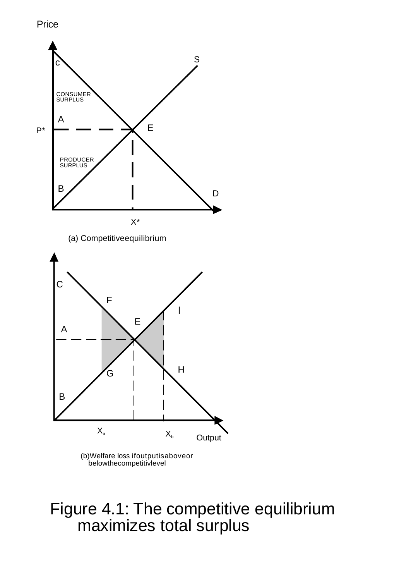**Price** 



belowthecompetitivlevel

### Figure 4.1: The competitive equilibrium maximizes total surplus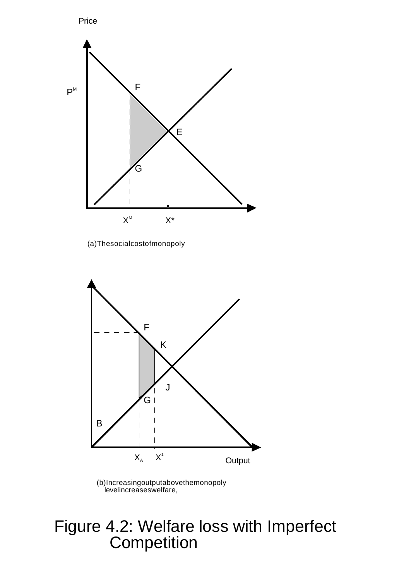

(a)Thesocialcostofmonopoly



(b)Increasingoutputabovethemonopoly levelincreaseswelfare,

## Figure 4.2: Welfare loss with Imperfect **Competition**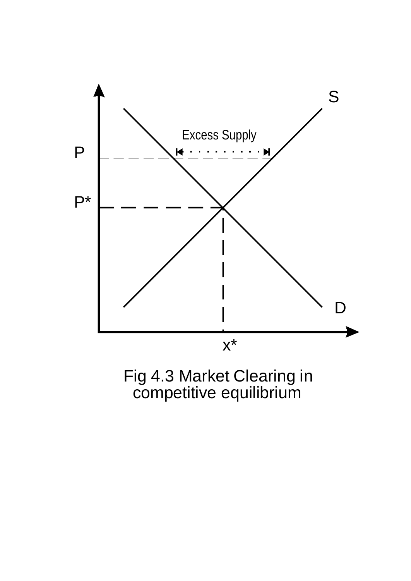

competitive equilibrium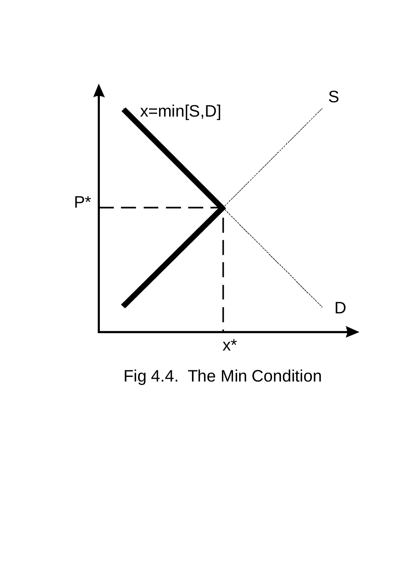

Fig 4.4. The Min Condition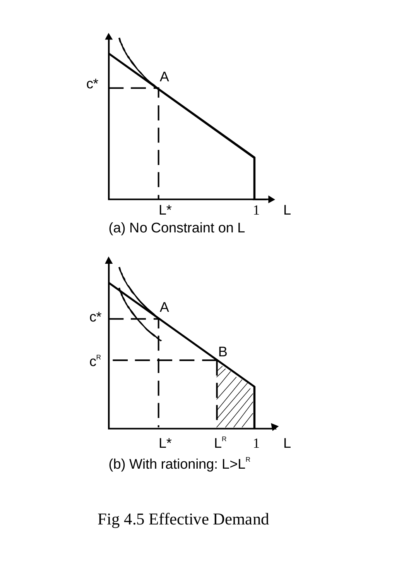

Fig 4.5 Effective Demand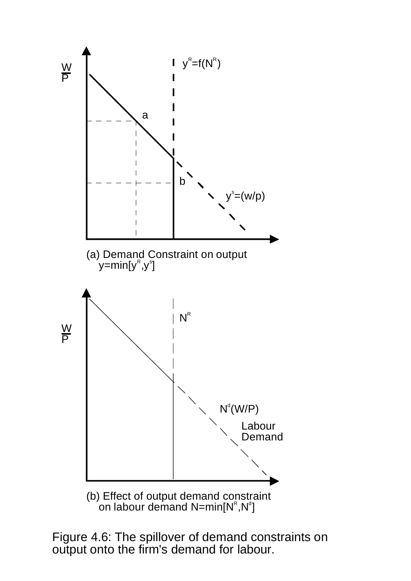

Figure 4.6: The spillover of demand constraints on output onto the firm's demand for labour.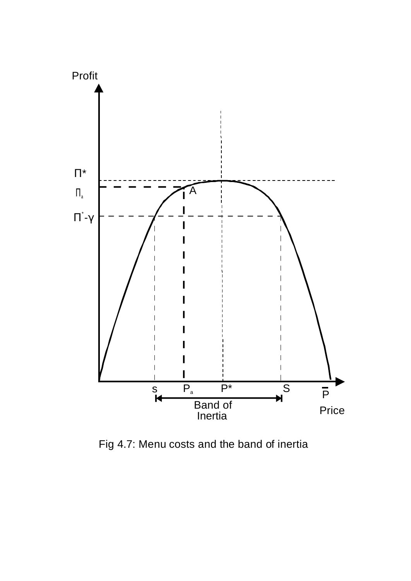

Fig 4.7: Menu costs and the band of inertia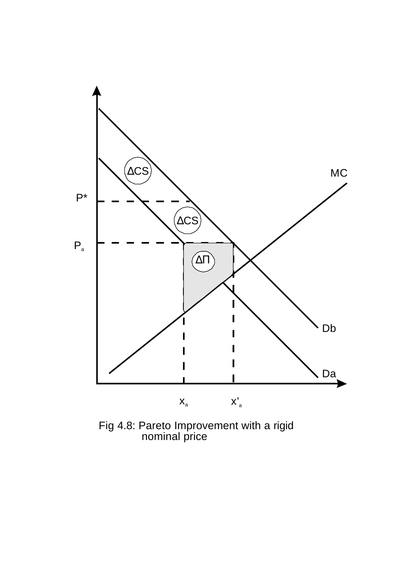

Fig 4.8: Pareto Improvement with a rigid nominal price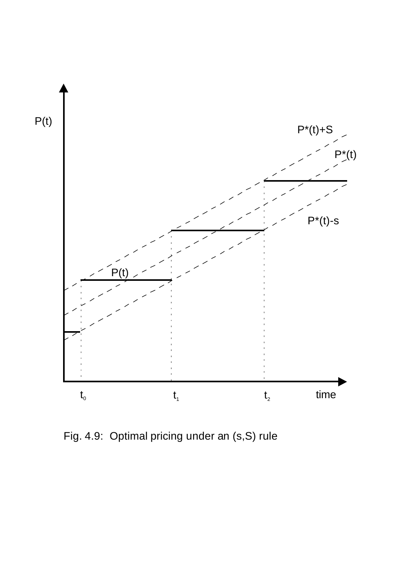

Fig. 4.9: Optimal pricing under an (s,S) rule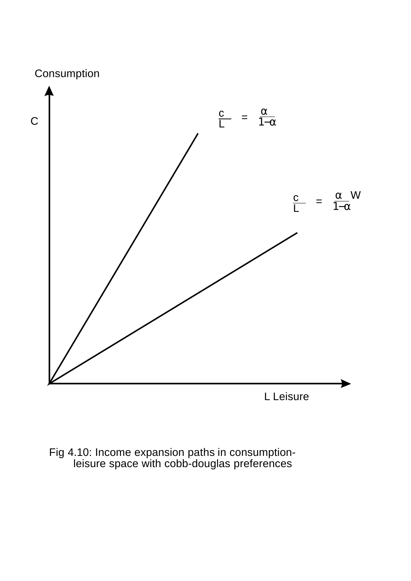

Fig 4.10: Income expansion paths in consumptionleisure space with cobb-douglas preferences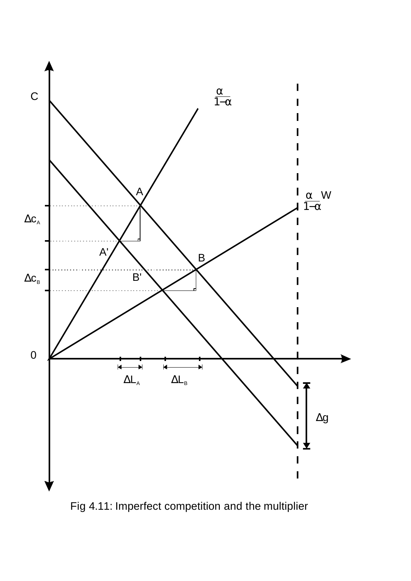

Fig 4.11: Imperfect competition and the multiplier